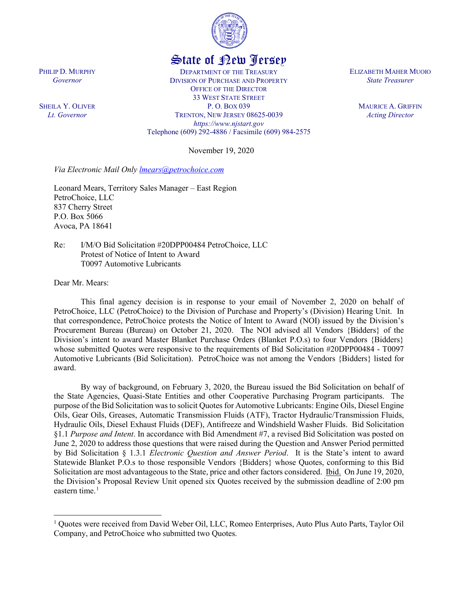

## State of New Jersey

DEPARTMENT OF THE TREASURY DIVISION OF PURCHASE AND PROPERTY OFFICE OF THE DIRECTOR 33 WEST STATE STREET P. O. BOX 039 TRENTON, NEW JERSEY 08625-0039 *https://www.njstart.gov* Telephone (609) 292-4886 / Facsimile (609) 984-2575

November 19, 2020

*Via Electronic Mail Only [lmears@petrochoice.com](mailto:lmears@petrochoice.com)*

Leonard Mears, Territory Sales Manager – East Region PetroChoice, LLC 837 Cherry Street P.O. Box 5066 Avoca, PA 18641

Re: I/M/O Bid Solicitation #20DPP00484 PetroChoice, LLC Protest of Notice of Intent to Award T0097 Automotive Lubricants

Dear Mr. Mears:

l

PHILIP D. MURPHY *Governor*

SHEILA Y. OLIVER *Lt. Governor*

> This final agency decision is in response to your email of November 2, 2020 on behalf of PetroChoice, LLC (PetroChoice) to the Division of Purchase and Property's (Division) Hearing Unit. In that correspondence, PetroChoice protests the Notice of Intent to Award (NOI) issued by the Division's Procurement Bureau (Bureau) on October 21, 2020. The NOI advised all Vendors {Bidders} of the Division's intent to award Master Blanket Purchase Orders (Blanket P.O.s) to four Vendors {Bidders} whose submitted Quotes were responsive to the requirements of Bid Solicitation #20DPP00484 - T0097 Automotive Lubricants (Bid Solicitation). PetroChoice was not among the Vendors {Bidders} listed for award.

> By way of background, on February 3, 2020, the Bureau issued the Bid Solicitation on behalf of the State Agencies, Quasi-State Entities and other Cooperative Purchasing Program participants. The purpose of the Bid Solicitation was to solicit Quotes for Automotive Lubricants: Engine Oils, Diesel Engine Oils, Gear Oils, Greases, Automatic Transmission Fluids (ATF), Tractor Hydraulic/Transmission Fluids, Hydraulic Oils, Diesel Exhaust Fluids (DEF), Antifreeze and Windshield Washer Fluids. Bid Solicitation §1.1 *Purpose and Intent*. In accordance with Bid Amendment #7, a revised Bid Solicitation was posted on June 2, 2020 to address those questions that were raised during the Question and Answer Period permitted by Bid Solicitation § 1.3.1 *Electronic Question and Answer Period*. It is the State's intent to award Statewide Blanket P.O.s to those responsible Vendors {Bidders} whose Quotes, conforming to this Bid Solicitation are most advantageous to the State, price and other factors considered. Ibid. On June 19, 2020, the Division's Proposal Review Unit opened six Quotes received by the submission deadline of 2:00 pm eastern time. $<sup>1</sup>$  $<sup>1</sup>$  $<sup>1</sup>$ </sup>

ELIZABETH MAHER MUOIO *State Treasurer*

> MAURICE A. GRIFFIN *Acting Director*

<span id="page-0-0"></span><sup>&</sup>lt;sup>1</sup> Quotes were received from David Weber Oil, LLC, Romeo Enterprises, Auto Plus Auto Parts, Taylor Oil Company, and PetroChoice who submitted two Quotes.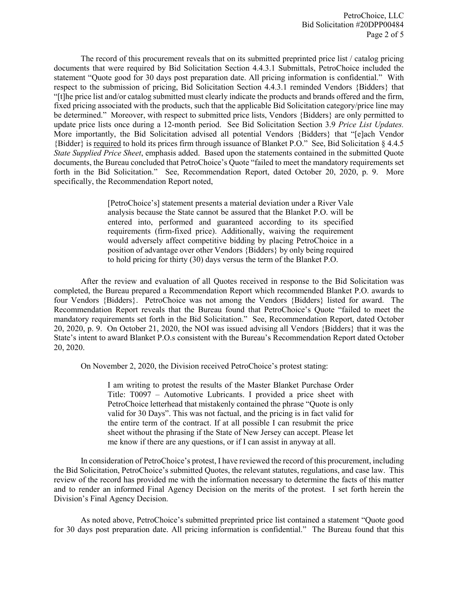The record of this procurement reveals that on its submitted preprinted price list / catalog pricing documents that were required by Bid Solicitation Section 4.4.3.1 Submittals, PetroChoice included the statement "Quote good for 30 days post preparation date. All pricing information is confidential." With respect to the submission of pricing, Bid Solicitation Section 4.4.3.1 reminded Vendors {Bidders} that "[t]he price list and/or catalog submitted must clearly indicate the products and brands offered and the firm, fixed pricing associated with the products, such that the applicable Bid Solicitation category/price line may be determined." Moreover, with respect to submitted price lists, Vendors {Bidders} are only permitted to update price lists once during a 12-month period. See Bid Solicitation Section 3.9 *Price List Updates.*  More importantly, the Bid Solicitation advised all potential Vendors {Bidders} that "[e]ach Vendor {Bidder} is required to hold its prices firm through issuance of Blanket P.O." See, Bid Solicitation § 4.4.5 *State Supplied Price Sheet*, emphasis added. Based upon the statements contained in the submitted Quote documents, the Bureau concluded that PetroChoice's Quote "failed to meet the mandatory requirements set forth in the Bid Solicitation." See, Recommendation Report, dated October 20, 2020, p. 9. More specifically, the Recommendation Report noted,

> [PetroChoice's] statement presents a material deviation under a River Vale analysis because the State cannot be assured that the Blanket P.O. will be entered into, performed and guaranteed according to its specified requirements (firm-fixed price). Additionally, waiving the requirement would adversely affect competitive bidding by placing PetroChoice in a position of advantage over other Vendors {Bidders} by only being required to hold pricing for thirty (30) days versus the term of the Blanket P.O.

After the review and evaluation of all Quotes received in response to the Bid Solicitation was completed, the Bureau prepared a Recommendation Report which recommended Blanket P.O. awards to four Vendors {Bidders}. PetroChoice was not among the Vendors {Bidders} listed for award. The Recommendation Report reveals that the Bureau found that PetroChoice's Quote "failed to meet the mandatory requirements set forth in the Bid Solicitation." See, Recommendation Report, dated October 20, 2020, p. 9. On October 21, 2020, the NOI was issued advising all Vendors {Bidders} that it was the State's intent to award Blanket P.O.s consistent with the Bureau's Recommendation Report dated October 20, 2020.

On November 2, 2020, the Division received PetroChoice's protest stating:

I am writing to protest the results of the Master Blanket Purchase Order Title: T0097 – Automotive Lubricants. I provided a price sheet with PetroChoice letterhead that mistakenly contained the phrase "Quote is only valid for 30 Days". This was not factual, and the pricing is in fact valid for the entire term of the contract. If at all possible I can resubmit the price sheet without the phrasing if the State of New Jersey can accept. Please let me know if there are any questions, or if I can assist in anyway at all.

In consideration of PetroChoice's protest, I have reviewed the record of this procurement, including the Bid Solicitation, PetroChoice's submitted Quotes, the relevant statutes, regulations, and case law. This review of the record has provided me with the information necessary to determine the facts of this matter and to render an informed Final Agency Decision on the merits of the protest. I set forth herein the Division's Final Agency Decision.

As noted above, PetroChoice's submitted preprinted price list contained a statement "Quote good for 30 days post preparation date. All pricing information is confidential." The Bureau found that this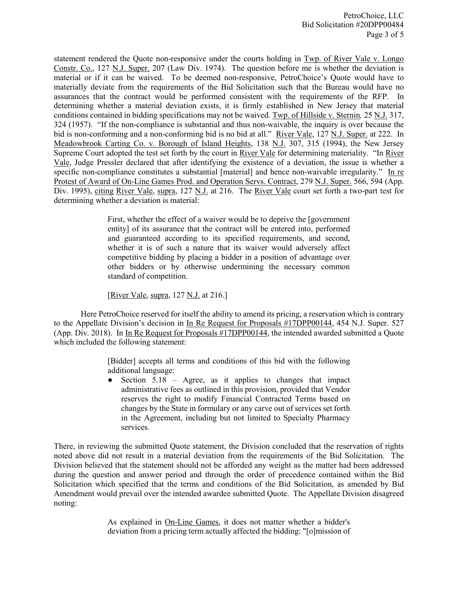statement rendered the Quote non-responsive under the courts holding in Twp. of River Vale v. Longo Constr. Co., 127 N.J. Super. 207 (Law Div. 1974). The question before me is whether the deviation is material or if it can be waived. To be deemed non-responsive, PetroChoice's Quote would have to materially deviate from the requirements of the Bid Solicitation such that the Bureau would have no assurances that the contract would be performed consistent with the requirements of the RFP. In determining whether a material deviation exists, it is firmly established in New Jersey that material conditions contained in bidding specifications may not be waived. Twp. of Hillside v. Sternin*,* 25 N.J. 317, 324 (1957). "If the non-compliance is substantial and thus non-waivable, the inquiry is over because the bid is non-conforming and a non-conforming bid is no bid at all." River Vale, 127 N.J. Super. at 222. In Meadowbrook Carting Co. v. Borough of Island Heights, 138 N.J. 307, 315 (1994), the New Jersey Supreme Court adopted the test set forth by the court in River Vale for determining materiality. "In River Vale, Judge Pressler declared that after identifying the existence of a deviation, the issue is whether a specific non-compliance constitutes a substantial [material] and hence non-waivable irregularity." In re Protest of Award of On-Line Games Prod. and Operation Servs. Contract, 279 N.J. Super. 566, 594 (App. Div. 1995), citing River Vale, supra, 127 N.J. at 216. The River Vale court set forth a two-part test for determining whether a deviation is material:

> First, whether the effect of a waiver would be to deprive the [government entity] of its assurance that the contract will be entered into, performed and guaranteed according to its specified requirements, and second, whether it is of such a nature that its waiver would adversely affect competitive bidding by placing a bidder in a position of advantage over other bidders or by otherwise undermining the necessary common standard of competition.

[River Vale, supra,  $127$  N.J. at  $216$ .]

Here PetroChoice reserved for itself the ability to amend its pricing, a reservation which is contrary to the Appellate Division's decision in In Re Request for Proposals #17DPP00144, 454 N.J. Super. 527 (App. Div. 2018). In In Re Request for Proposals #17DPP00144, the intended awarded submitted a Quote which included the following statement:

> [Bidder] accepts all terms and conditions of this bid with the following additional language:

> • Section 5.18 – Agree, as it applies to changes that impact administrative fees as outlined in this provision, provided that Vendor reserves the right to modify Financial Contracted Terms based on changes by the State in formulary or any carve out of services set forth in the Agreement, including but not limited to Specialty Pharmacy services.

There, in reviewing the submitted Quote statement, the Division concluded that the reservation of rights noted above did not result in a material deviation from the requirements of the Bid Solicitation. The Division believed that the statement should not be afforded any weight as the matter had been addressed during the question and answer period and through the order of precedence contained within the Bid Solicitation which specified that the terms and conditions of the Bid Solicitation, as amended by Bid Amendment would prevail over the intended awardee submitted Quote. The Appellate Division disagreed noting:

> As explained in On-Line Games, it does not matter whether a bidder's deviation from a pricing term actually affected the bidding: "[o]mission of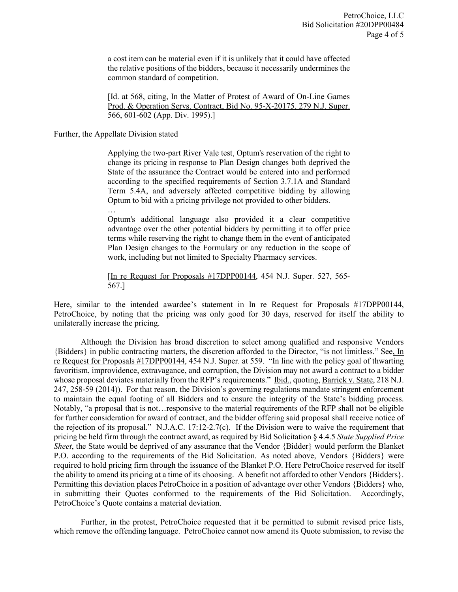a cost item can be material even if it is unlikely that it could have affected the relative positions of the bidders, because it necessarily undermines the common standard of competition.

[Id. at 568, citing, In the Matter of Protest of Award of On-Line Games Prod. & Operation Servs. Contract, Bid No. 95-X-20175, 279 N.J. Super. 566, 601-602 (App. Div. 1995).]

## Further, the Appellate Division stated

…

Applying the two-part River Vale test, Optum's reservation of the right to change its pricing in response to Plan Design changes both deprived the State of the assurance the Contract would be entered into and performed according to the specified requirements of Section 3.7.1A and Standard Term 5.4A, and adversely affected competitive bidding by allowing Optum to bid with a pricing privilege not provided to other bidders.

Optum's additional language also provided it a clear competitive advantage over the other potential bidders by permitting it to offer price terms while reserving the right to change them in the event of anticipated Plan Design changes to the Formulary or any reduction in the scope of work, including but not limited to Specialty Pharmacy services.

[In re Request for Proposals #17DPP00144, 454 N.J. Super. 527, 565- 567.]

Here, similar to the intended awardee's statement in In re Request for Proposals #17DPP00144, PetroChoice, by noting that the pricing was only good for 30 days, reserved for itself the ability to unilaterally increase the pricing.

Although the Division has broad discretion to select among qualified and responsive Vendors {Bidders} in public contracting matters, the discretion afforded to the Director, "is not limitless." See, In re Request for Proposals #17DPP00144, 454 N.J. Super. at 559. "In line with the policy goal of thwarting favoritism, improvidence, extravagance, and corruption, the Division may not award a contract to a bidder whose proposal deviates materially from the RFP's requirements." Ibid., quoting, Barrick v. State, 218 N.J. 247, 258-59 (2014)). For that reason, the Division's governing regulations mandate stringent enforcement to maintain the equal footing of all Bidders and to ensure the integrity of the State's bidding process. Notably, "a proposal that is not…responsive to the material requirements of the RFP shall not be eligible for further consideration for award of contract, and the bidder offering said proposal shall receive notice of the rejection of its proposal." N.J.A.C. 17:12-2.7(c). If the Division were to waive the requirement that pricing be held firm through the contract award, as required by Bid Solicitation § 4.4.5 *State Supplied Price Sheet*, the State would be deprived of any assurance that the Vendor {Bidder} would perform the Blanket P.O. according to the requirements of the Bid Solicitation. As noted above, Vendors {Bidders} were required to hold pricing firm through the issuance of the Blanket P.O. Here PetroChoice reserved for itself the ability to amend its pricing at a time of its choosing. A benefit not afforded to other Vendors {Bidders}. Permitting this deviation places PetroChoice in a position of advantage over other Vendors {Bidders} who, in submitting their Quotes conformed to the requirements of the Bid Solicitation. Accordingly, PetroChoice's Quote contains a material deviation.

Further, in the protest, PetroChoice requested that it be permitted to submit revised price lists, which remove the offending language. PetroChoice cannot now amend its Quote submission, to revise the